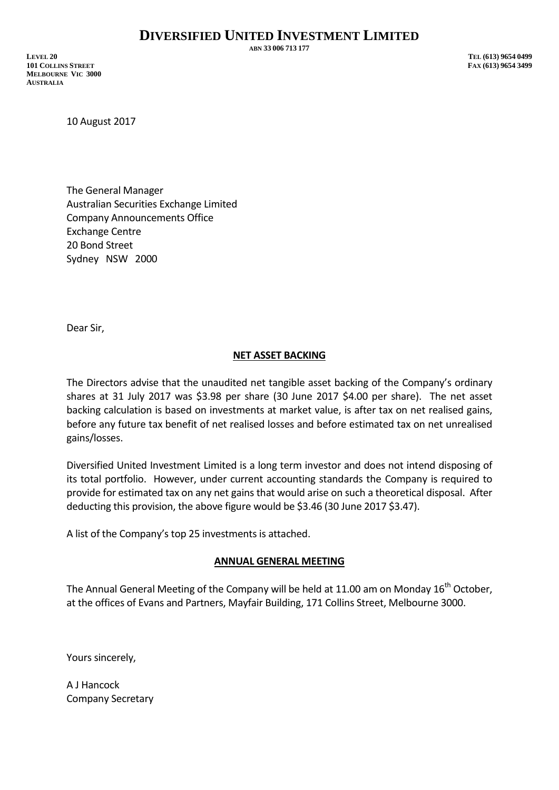**ABN 33 006 713 177**

**LEVEL 20 TEL (613) 9654 0499 101 COLLINS STREET FAX (613) 9654 3499 MELBOURNE VIC 3000 AUSTRALIA**

10 August 2017

The General Manager Australian Securities Exchange Limited Company Announcements Office Exchange Centre 20 Bond Street Sydney NSW 2000

Dear Sir,

#### **NET ASSET BACKING**

The Directors advise that the unaudited net tangible asset backing of the Company's ordinary shares at 31 July 2017 was \$3.98 per share (30 June 2017 \$4.00 per share). The net asset backing calculation is based on investments at market value, is after tax on net realised gains, before any future tax benefit of net realised losses and before estimated tax on net unrealised gains/losses.

Diversified United Investment Limited is a long term investor and does not intend disposing of its total portfolio. However, under current accounting standards the Company is required to provide for estimated tax on any net gains that would arise on such a theoretical disposal. After deducting this provision, the above figure would be \$3.46 (30 June 2017 \$3.47).

A list of the Company's top 25 investments is attached.

#### **ANNUAL GENERAL MEETING**

The Annual General Meeting of the Company will be held at 11.00 am on Monday  $16<sup>th</sup>$  October, at the offices of Evans and Partners, Mayfair Building, 171 Collins Street, Melbourne 3000.

Yours sincerely,

A J Hancock Company Secretary